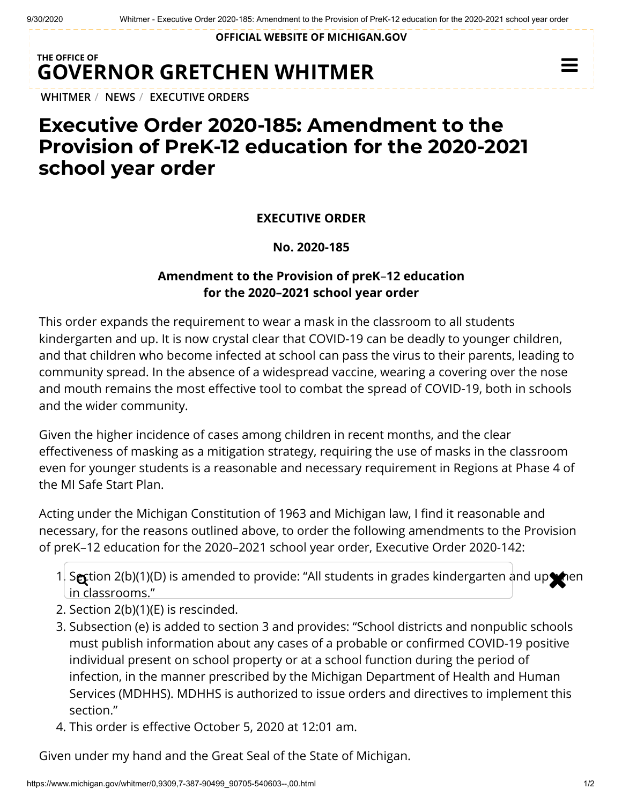**OFFICIAL WEBSITE OF [MICHIGAN.GOV](https://www.michigan.gov/)**

## **THE OFFICE OF GOVERNOR [GRETCHEN WHITMER](https://www.michigan.gov/whitmer/)**

**[WHITMER](https://www.michigan.gov/whitmer/)** / **[NEWS](https://www.michigan.gov/whitmer/0,9309,7-387-90499---,00.html)** / **[EXECUTIVE ORDERS](https://www.michigan.gov/whitmer/0,9309,7-387-90499_90705---,00.html)**

# **Executive Order 2020-185: Amendment to the Provision of PreK-12 education for the 2020-2021 school year order**

#### **EXECUTIVE ORDER**

#### **No. 2020-185**

### **Amendment to the Provision of preK**–**12 education for the 2020–2021 school year order**

This order expands the requirement to wear a mask in the classroom to all students kindergarten and up. It is now crystal clear that COVID-19 can be deadly to younger children, and that children who become infected at school can pass the virus to their parents, leading to community spread. In the absence of a widespread vaccine, wearing a covering over the nose and mouth remains the most effective tool to combat the spread of COVID-19, both in schools and the wider community.

Given the higher incidence of cases among children in recent months, and the clear effectiveness of masking as a mitigation strategy, requiring the use of masks in the classroom even for younger students is a reasonable and necessary requirement in Regions at Phase 4 of the MI Safe Start Plan.

Acting under the Michigan Constitution of 1963 and Michigan law, I find it reasonable and necessary, for the reasons outlined above, to order the following amendments to the Provision of preK–12 education for the 2020–2021 school year order, Executive Order 2020-142:

- 1. Section 2(b)(1)(D) is amended to provide: "All students in grades kindergarten and up then in classrooms."
- 2. Section 2(b)(1)(E) is rescinded.
- 3. Subsection (e) is added to section 3 and provides: "School districts and nonpublic schools must publish information about any cases of a probable or confirmed COVID-19 positive individual present on school property or at a school function during the period of infection, in the manner prescribed by the Michigan Department of Health and Human Services (MDHHS). MDHHS is authorized to issue orders and directives to implement this section."
- 4. This order is effective October 5, 2020 at 12:01 am.

Given under my hand and the Great Seal of the State of Michigan.

 $\equiv$